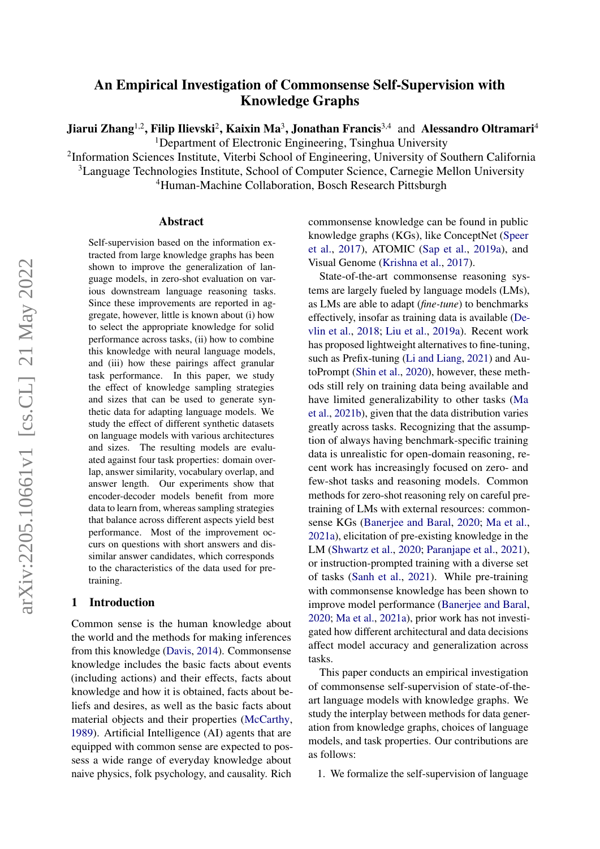# An Empirical Investigation of Commonsense Self-Supervision with Knowledge Graphs

Jiarui Zhang<sup>1,2</sup>, Filip Ilievski<sup>2</sup>, Kaixin Ma<sup>3</sup>, Jonathan Francis<sup>3,4</sup> and Alessandro Oltramari<sup>4</sup> <sup>1</sup>Department of Electronic Engineering, Tsinghua University

<sup>2</sup>Information Sciences Institute, Viterbi School of Engineering, University of Southern California

<sup>3</sup>Language Technologies Institute, School of Computer Science, Carnegie Mellon University

<sup>4</sup>Human-Machine Collaboration, Bosch Research Pittsburgh

#### Abstract

Self-supervision based on the information extracted from large knowledge graphs has been shown to improve the generalization of language models, in zero-shot evaluation on various downstream language reasoning tasks. Since these improvements are reported in aggregate, however, little is known about (i) how to select the appropriate knowledge for solid performance across tasks, (ii) how to combine this knowledge with neural language models, and (iii) how these pairings affect granular task performance. In this paper, we study the effect of knowledge sampling strategies and sizes that can be used to generate synthetic data for adapting language models. We study the effect of different synthetic datasets on language models with various architectures and sizes. The resulting models are evaluated against four task properties: domain overlap, answer similarity, vocabulary overlap, and answer length. Our experiments show that encoder-decoder models benefit from more data to learn from, whereas sampling strategies that balance across different aspects yield best performance. Most of the improvement occurs on questions with short answers and dissimilar answer candidates, which corresponds to the characteristics of the data used for pretraining.

#### 1 Introduction

Common sense is the human knowledge about the world and the methods for making inferences from this knowledge [\(Davis,](#page-10-0) [2014\)](#page-10-0). Commonsense knowledge includes the basic facts about events (including actions) and their effects, facts about knowledge and how it is obtained, facts about beliefs and desires, as well as the basic facts about material objects and their properties [\(McCarthy,](#page-11-0) [1989\)](#page-11-0). Artificial Intelligence (AI) agents that are equipped with common sense are expected to possess a wide range of everyday knowledge about naive physics, folk psychology, and causality. Rich commonsense knowledge can be found in public knowledge graphs (KGs), like ConceptNet [\(Speer](#page-12-0) [et al.,](#page-12-0) [2017\)](#page-12-0), ATOMIC [\(Sap et al.,](#page-11-1) [2019a\)](#page-11-1), and Visual Genome [\(Krishna et al.,](#page-11-2) [2017\)](#page-11-2).

State-of-the-art commonsense reasoning systems are largely fueled by language models (LMs), as LMs are able to adapt (*fine-tune*) to benchmarks effectively, insofar as training data is available [\(De](#page-10-1)[vlin et al.,](#page-10-1) [2018;](#page-10-1) [Liu et al.,](#page-11-3) [2019a\)](#page-11-3). Recent work has proposed lightweight alternatives to fine-tuning, such as Prefix-tuning [\(Li and Liang,](#page-11-4) [2021\)](#page-11-4) and AutoPrompt [\(Shin et al.,](#page-12-1) [2020\)](#page-12-1), however, these methods still rely on training data being available and have limited generalizability to other tasks [\(Ma](#page-11-5) [et al.,](#page-11-5) [2021b\)](#page-11-5), given that the data distribution varies greatly across tasks. Recognizing that the assumption of always having benchmark-specific training data is unrealistic for open-domain reasoning, recent work has increasingly focused on zero- and few-shot tasks and reasoning models. Common methods for zero-shot reasoning rely on careful pretraining of LMs with external resources: commonsense KGs [\(Banerjee and Baral,](#page-10-2) [2020;](#page-10-2) [Ma et al.,](#page-11-6) [2021a\)](#page-11-6), elicitation of pre-existing knowledge in the LM [\(Shwartz et al.,](#page-12-2) [2020;](#page-12-2) [Paranjape et al.,](#page-11-7) [2021\)](#page-11-7), or instruction-prompted training with a diverse set of tasks [\(Sanh et al.,](#page-11-8) [2021\)](#page-11-8). While pre-training with commonsense knowledge has been shown to improve model performance [\(Banerjee and Baral,](#page-10-2) [2020;](#page-10-2) [Ma et al.,](#page-11-6) [2021a\)](#page-11-6), prior work has not investigated how different architectural and data decisions affect model accuracy and generalization across tasks.

This paper conducts an empirical investigation of commonsense self-supervision of state-of-theart language models with knowledge graphs. We study the interplay between methods for data generation from knowledge graphs, choices of language models, and task properties. Our contributions are as follows:

1. We formalize the self-supervision of language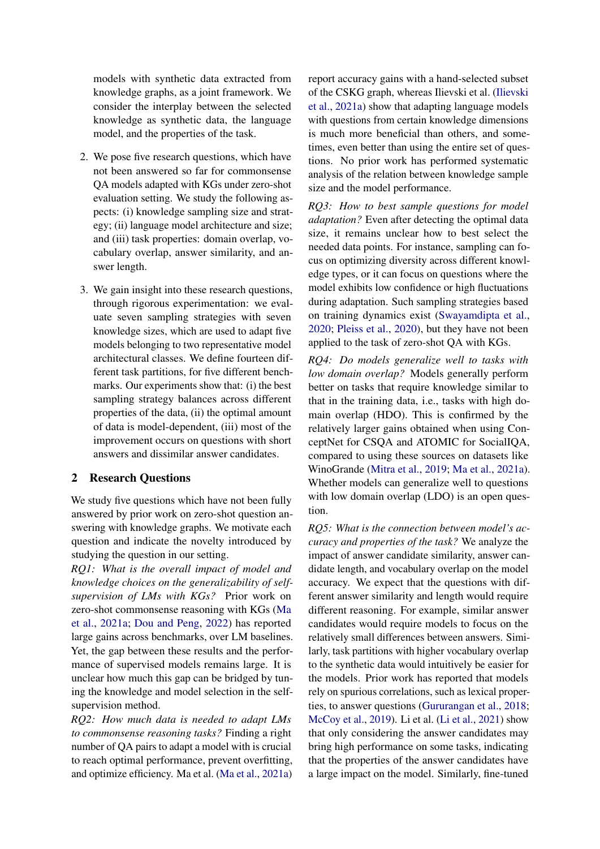models with synthetic data extracted from knowledge graphs, as a joint framework. We consider the interplay between the selected knowledge as synthetic data, the language model, and the properties of the task.

- 2. We pose five research questions, which have not been answered so far for commonsense QA models adapted with KGs under zero-shot evaluation setting. We study the following aspects: (i) knowledge sampling size and strategy; (ii) language model architecture and size; and (iii) task properties: domain overlap, vocabulary overlap, answer similarity, and answer length.
- 3. We gain insight into these research questions, through rigorous experimentation: we evaluate seven sampling strategies with seven knowledge sizes, which are used to adapt five models belonging to two representative model architectural classes. We define fourteen different task partitions, for five different benchmarks. Our experiments show that: (i) the best sampling strategy balances across different properties of the data, (ii) the optimal amount of data is model-dependent, (iii) most of the improvement occurs on questions with short answers and dissimilar answer candidates.

## <span id="page-1-0"></span>2 Research Questions

We study five questions which have not been fully answered by prior work on zero-shot question answering with knowledge graphs. We motivate each question and indicate the novelty introduced by studying the question in our setting.

*RQ1: What is the overall impact of model and knowledge choices on the generalizability of selfsupervision of LMs with KGs?* Prior work on zero-shot commonsense reasoning with KGs [\(Ma](#page-11-6) [et al.,](#page-11-6) [2021a;](#page-11-6) [Dou and Peng,](#page-10-3) [2022\)](#page-10-3) has reported large gains across benchmarks, over LM baselines. Yet, the gap between these results and the performance of supervised models remains large. It is unclear how much this gap can be bridged by tuning the knowledge and model selection in the selfsupervision method.

*RQ2: How much data is needed to adapt LMs to commonsense reasoning tasks?* Finding a right number of QA pairs to adapt a model with is crucial to reach optimal performance, prevent overfitting, and optimize efficiency. Ma et al. [\(Ma et al.,](#page-11-6) [2021a\)](#page-11-6) report accuracy gains with a hand-selected subset of the CSKG graph, whereas Ilievski et al. [\(Ilievski](#page-11-9) [et al.,](#page-11-9) [2021a\)](#page-11-9) show that adapting language models with questions from certain knowledge dimensions is much more beneficial than others, and sometimes, even better than using the entire set of questions. No prior work has performed systematic analysis of the relation between knowledge sample size and the model performance.

*RQ3: How to best sample questions for model adaptation?* Even after detecting the optimal data size, it remains unclear how to best select the needed data points. For instance, sampling can focus on optimizing diversity across different knowledge types, or it can focus on questions where the model exhibits low confidence or high fluctuations during adaptation. Such sampling strategies based on training dynamics exist [\(Swayamdipta et al.,](#page-12-3) [2020;](#page-12-3) [Pleiss et al.,](#page-11-10) [2020\)](#page-11-10), but they have not been applied to the task of zero-shot QA with KGs.

*RQ4: Do models generalize well to tasks with low domain overlap?* Models generally perform better on tasks that require knowledge similar to that in the training data, i.e., tasks with high domain overlap (HDO). This is confirmed by the relatively larger gains obtained when using ConceptNet for CSQA and ATOMIC for SocialIQA, compared to using these sources on datasets like WinoGrande [\(Mitra et al.,](#page-11-11) [2019;](#page-11-11) [Ma et al.,](#page-11-6) [2021a\)](#page-11-6). Whether models can generalize well to questions with low domain overlap (LDO) is an open question.

*RQ5: What is the connection between model's accuracy and properties of the task?* We analyze the impact of answer candidate similarity, answer candidate length, and vocabulary overlap on the model accuracy. We expect that the questions with different answer similarity and length would require different reasoning. For example, similar answer candidates would require models to focus on the relatively small differences between answers. Similarly, task partitions with higher vocabulary overlap to the synthetic data would intuitively be easier for the models. Prior work has reported that models rely on spurious correlations, such as lexical properties, to answer questions [\(Gururangan et al.,](#page-10-4) [2018;](#page-10-4) [McCoy et al.,](#page-11-12) [2019\)](#page-11-12). Li et al. [\(Li et al.,](#page-11-13) [2021\)](#page-11-13) show that only considering the answer candidates may bring high performance on some tasks, indicating that the properties of the answer candidates have a large impact on the model. Similarly, fine-tuned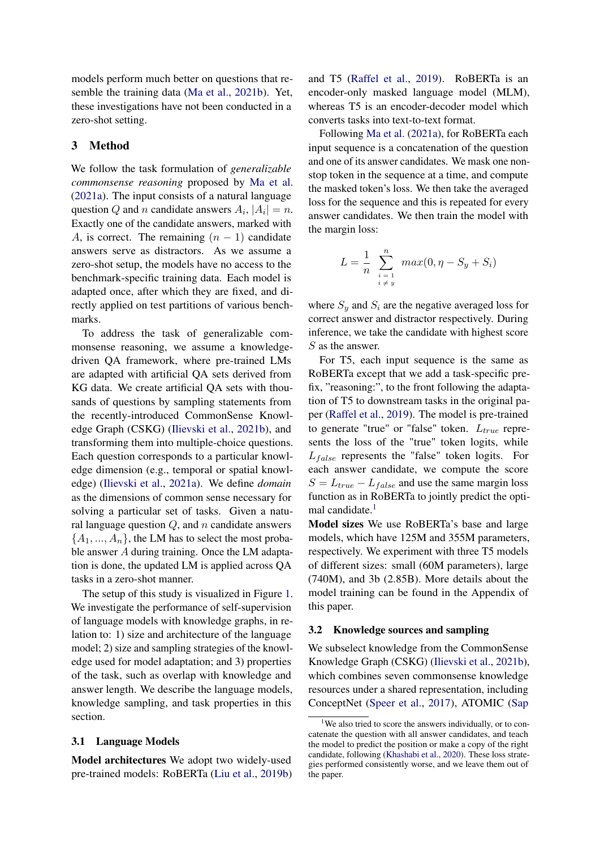models perform much better on questions that resemble the training data [\(Ma et al.,](#page-11-5) [2021b\)](#page-11-5). Yet, these investigations have not been conducted in a zero-shot setting.

## <span id="page-2-1"></span>3 Method

We follow the task formulation of *generalizable commonsense reasoning* proposed by [Ma et al.](#page-11-6) [\(2021a\)](#page-11-6). The input consists of a natural language question Q and n candidate answers  $A_i$ ,  $|A_i| = n$ . Exactly one of the candidate answers, marked with A, is correct. The remaining  $(n - 1)$  candidate answers serve as distractors. As we assume a zero-shot setup, the models have no access to the benchmark-specific training data. Each model is adapted once, after which they are fixed, and directly applied on test partitions of various benchmarks.

To address the task of generalizable commonsense reasoning, we assume a knowledgedriven QA framework, where pre-trained LMs are adapted with artificial QA sets derived from KG data. We create artificial QA sets with thousands of questions by sampling statements from the recently-introduced CommonSense Knowledge Graph (CSKG) [\(Ilievski et al.,](#page-11-14) [2021b\)](#page-11-14), and transforming them into multiple-choice questions. Each question corresponds to a particular knowledge dimension (e.g., temporal or spatial knowledge) [\(Ilievski et al.,](#page-11-9) [2021a\)](#page-11-9). We define *domain* as the dimensions of common sense necessary for solving a particular set of tasks. Given a natural language question  $Q$ , and  $n$  candidate answers  ${A_1, ..., A_n}$ , the LM has to select the most probable answer A during training. Once the LM adaptation is done, the updated LM is applied across QA tasks in a zero-shot manner.

The setup of this study is visualized in Figure [1.](#page-3-0) We investigate the performance of self-supervision of language models with knowledge graphs, in relation to: 1) size and architecture of the language model; 2) size and sampling strategies of the knowledge used for model adaptation; and 3) properties of the task, such as overlap with knowledge and answer length. We describe the language models, knowledge sampling, and task properties in this section.

#### 3.1 Language Models

Model architectures We adopt two widely-used pre-trained models: RoBERTa [\(Liu et al.,](#page-11-15) [2019b\)](#page-11-15) and T5 [\(Raffel et al.,](#page-11-16) [2019\)](#page-11-16). RoBERTa is an encoder-only masked language model (MLM), whereas T5 is an encoder-decoder model which converts tasks into text-to-text format.

Following [Ma et al.](#page-11-6) [\(2021a\)](#page-11-6), for RoBERTa each input sequence is a concatenation of the question and one of its answer candidates. We mask one nonstop token in the sequence at a time, and compute the masked token's loss. We then take the averaged loss for the sequence and this is repeated for every answer candidates. We then train the model with the margin loss:

$$
L = \frac{1}{n} \sum_{\substack{i=1 \ i \neq y}}^{n} max(0, \eta - S_y + S_i)
$$

where  $S_y$  and  $S_i$  are the negative averaged loss for correct answer and distractor respectively. During inference, we take the candidate with highest score S as the answer.

For T5, each input sequence is the same as RoBERTa except that we add a task-specific prefix, "reasoning:", to the front following the adaptation of T5 to downstream tasks in the original paper [\(Raffel et al.,](#page-11-16) [2019\)](#page-11-16). The model is pre-trained to generate "true" or "false" token.  $L_{true}$  represents the loss of the "true" token logits, while  $L_{false}$  represents the "false" token logits. For each answer candidate, we compute the score  $S = L_{true} - L_{false}$  and use the same margin loss function as in RoBERTa to jointly predict the opti-mal candidate.<sup>[1](#page-2-0)</sup>

Model sizes We use RoBERTa's base and large models, which have 125M and 355M parameters, respectively. We experiment with three T5 models of different sizes: small (60M parameters), large (740M), and 3b (2.85B). More details about the model training can be found in the Appendix of this paper.

#### 3.2 Knowledge sources and sampling

We subselect knowledge from the CommonSense Knowledge Graph (CSKG) [\(Ilievski et al.,](#page-11-14) [2021b\)](#page-11-14), which combines seven commonsense knowledge resources under a shared representation, including ConceptNet [\(Speer et al.,](#page-12-0) [2017\)](#page-12-0), ATOMIC [\(Sap](#page-11-1)

<span id="page-2-0"></span><sup>&</sup>lt;sup>1</sup>[We also tried to score the answers individually, or to con](#page-11-1)[catenate the question with all answer candidates, and teach](#page-11-1) [the model to predict the position or make a copy of the right](#page-11-1) [candidate, following \(Khashabi et al.,](#page-11-1) [2020\)](#page-11-17). These loss strate[gies performed consistently worse, and we leave them out of](#page-11-1) [the paper.](#page-11-1)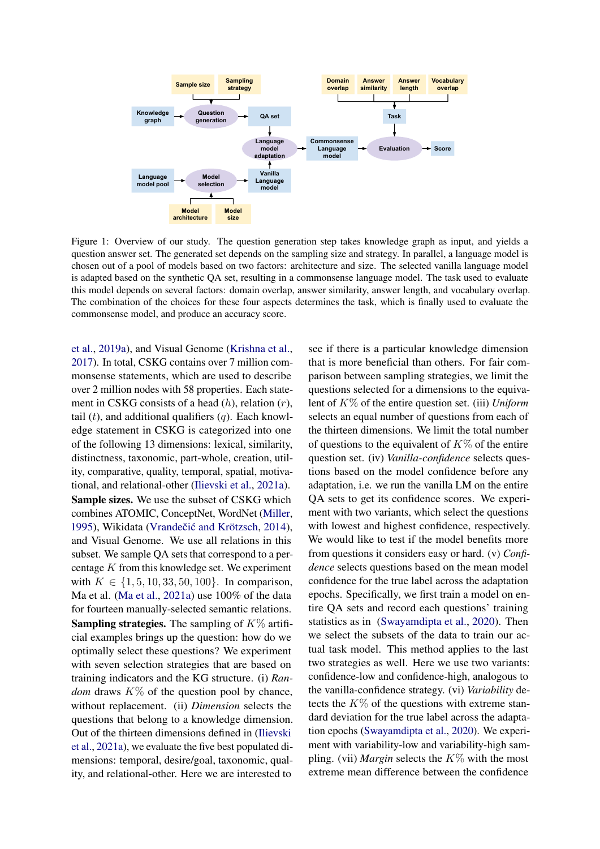<span id="page-3-0"></span>

Figure 1: Overview of our study. The question generation step takes knowledge graph as input, and yields a question answer set. The generated set depends on the sampling size and strategy. In parallel, a language model is chosen out of a pool of models based on two factors: architecture and size. The selected vanilla language model is adapted based on the synthetic QA set, resulting in a commonsense language model. The task used to evaluate this model depends on several factors: domain overlap, answer similarity, answer length, and vocabulary overlap. The combination of the choices for these four aspects determines the task, which is finally used to evaluate the commonsense model, and produce an accuracy score.

[et al.,](#page-11-1) [2019a\)](#page-11-1), and Visual Genome [\(Krishna et al.,](#page-11-2) [2017\)](#page-11-2). In total, CSKG contains over 7 million commonsense statements, which are used to describe over 2 million nodes with 58 properties. Each statement in CSKG consists of a head  $(h)$ , relation  $(r)$ , tail  $(t)$ , and additional qualifiers  $(q)$ . Each knowledge statement in CSKG is categorized into one of the following 13 dimensions: lexical, similarity, distinctness, taxonomic, part-whole, creation, utility, comparative, quality, temporal, spatial, motivational, and relational-other [\(Ilievski et al.,](#page-11-9) [2021a\)](#page-11-9). Sample sizes. We use the subset of CSKG which combines ATOMIC, ConceptNet, WordNet [\(Miller,](#page-11-18) [1995\)](#page-11-18), Wikidata (Vrandečić and Krötzsch, [2014\)](#page-12-4), and Visual Genome. We use all relations in this subset. We sample QA sets that correspond to a percentage K from this knowledge set. We experiment with  $K \in \{1, 5, 10, 33, 50, 100\}$ . In comparison, Ma et al. [\(Ma et al.,](#page-11-6) [2021a\)](#page-11-6) use 100% of the data for fourteen manually-selected semantic relations. **Sampling strategies.** The sampling of  $K\%$  artificial examples brings up the question: how do we optimally select these questions? We experiment with seven selection strategies that are based on training indicators and the KG structure. (i) *Random* draws  $K\%$  of the question pool by chance, without replacement. (ii) *Dimension* selects the questions that belong to a knowledge dimension. Out of the thirteen dimensions defined in [\(Ilievski](#page-11-9) [et al.,](#page-11-9) [2021a\)](#page-11-9), we evaluate the five best populated dimensions: temporal, desire/goal, taxonomic, quality, and relational-other. Here we are interested to

see if there is a particular knowledge dimension that is more beneficial than others. For fair comparison between sampling strategies, we limit the questions selected for a dimensions to the equivalent of K% of the entire question set. (iii) *Uniform* selects an equal number of questions from each of the thirteen dimensions. We limit the total number of questions to the equivalent of  $K\%$  of the entire question set. (iv) *Vanilla-confidence* selects questions based on the model confidence before any adaptation, i.e. we run the vanilla LM on the entire QA sets to get its confidence scores. We experiment with two variants, which select the questions with lowest and highest confidence, respectively. We would like to test if the model benefits more from questions it considers easy or hard. (v) *Confidence* selects questions based on the mean model confidence for the true label across the adaptation epochs. Specifically, we first train a model on entire QA sets and record each questions' training statistics as in [\(Swayamdipta et al.,](#page-12-3) [2020\)](#page-12-3). Then we select the subsets of the data to train our actual task model. This method applies to the last two strategies as well. Here we use two variants: confidence-low and confidence-high, analogous to the vanilla-confidence strategy. (vi) *Variability* detects the  $K\%$  of the questions with extreme standard deviation for the true label across the adaptation epochs [\(Swayamdipta et al.,](#page-12-3) [2020\)](#page-12-3). We experiment with variability-low and variability-high sampling. (vii) *Margin* selects the  $K\%$  with the most extreme mean difference between the confidence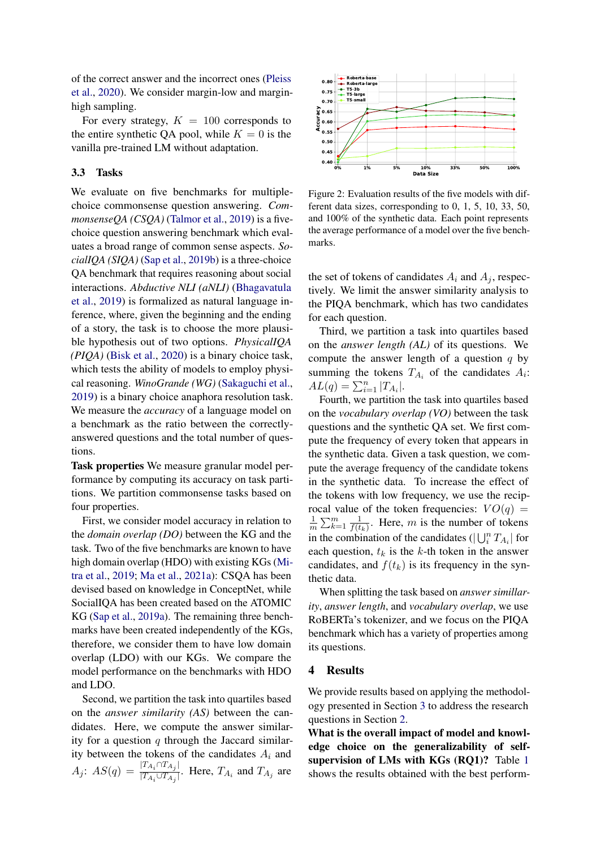of the correct answer and the incorrect ones [\(Pleiss](#page-11-10) [et al.,](#page-11-10) [2020\)](#page-11-10). We consider margin-low and marginhigh sampling.

For every strategy,  $K = 100$  corresponds to the entire synthetic QA pool, while  $K = 0$  is the vanilla pre-trained LM without adaptation.

#### 3.3 Tasks

We evaluate on five benchmarks for multiplechoice commonsense question answering. *CommonsenseQA (CSQA)* [\(Talmor et al.,](#page-12-5) [2019\)](#page-12-5) is a fivechoice question answering benchmark which evaluates a broad range of common sense aspects. *SocialIQA (SIQA)* [\(Sap et al.,](#page-12-6) [2019b\)](#page-12-6) is a three-choice QA benchmark that requires reasoning about social interactions. *Abductive NLI (aNLI)* [\(Bhagavatula](#page-10-5) [et al.,](#page-10-5) [2019\)](#page-10-5) is formalized as natural language inference, where, given the beginning and the ending of a story, the task is to choose the more plausible hypothesis out of two options. *PhysicalIQA (PIQA)* [\(Bisk et al.,](#page-10-6) [2020\)](#page-10-6) is a binary choice task, which tests the ability of models to employ physical reasoning. *WinoGrande (WG)* [\(Sakaguchi et al.,](#page-11-19) [2019\)](#page-11-19) is a binary choice anaphora resolution task. We measure the *accuracy* of a language model on a benchmark as the ratio between the correctlyanswered questions and the total number of questions.

Task properties We measure granular model performance by computing its accuracy on task partitions. We partition commonsense tasks based on four properties.

First, we consider model accuracy in relation to the *domain overlap (DO)* between the KG and the task. Two of the five benchmarks are known to have high domain overlap (HDO) with existing KGs [\(Mi](#page-11-11)[tra et al.,](#page-11-11) [2019;](#page-11-11) [Ma et al.,](#page-11-6) [2021a\)](#page-11-6): CSQA has been devised based on knowledge in ConceptNet, while SocialIQA has been created based on the ATOMIC KG [\(Sap et al.,](#page-11-1) [2019a\)](#page-11-1). The remaining three benchmarks have been created independently of the KGs, therefore, we consider them to have low domain overlap (LDO) with our KGs. We compare the model performance on the benchmarks with HDO and LDO.

Second, we partition the task into quartiles based on the *answer similarity (AS)* between the candidates. Here, we compute the answer similarity for a question  $q$  through the Jaccard similarity between the tokens of the candidates  $A_i$  and  $A_j$ :  $AS(q) = \frac{|T_{A_i} \cap T_{A_j}|}{|T_{A_i} \cup T_{A_j}|}$  $\frac{1+A_i+1+A_j+1}{|T_{A_i}\cup T_{A_j}|}$ . Here,  $T_{A_i}$  and  $T_{A_j}$  are

<span id="page-4-0"></span>

Figure 2: Evaluation results of the five models with different data sizes, corresponding to 0, 1, 5, 10, 33, 50, and 100% of the synthetic data. Each point represents the average performance of a model over the five benchmarks.

the set of tokens of candidates  $A_i$  and  $A_j$ , respectively. We limit the answer similarity analysis to the PIQA benchmark, which has two candidates for each question.

Third, we partition a task into quartiles based on the *answer length (AL)* of its questions. We compute the answer length of a question  $q$  by summing the tokens  $T_{A_i}$  of the candidates  $A_i$ :  $AL(q) = \sum_{i=1}^{n} |T_{A_i}|.$ 

Fourth, we partition the task into quartiles based on the *vocabulary overlap (VO)* between the task questions and the synthetic QA set. We first compute the frequency of every token that appears in the synthetic data. Given a task question, we compute the average frequency of the candidate tokens in the synthetic data. To increase the effect of the tokens with low frequency, we use the reciprocal value of the token frequencies:  $VO(q)$  = 1  $\frac{1}{m}\sum_{k=1}^{m}\frac{1}{f(t)}$  $\frac{1}{f(t_k)}$ . Here, m is the number of tokens in the combination of the candidates ( $|\bigcup_i^n T_{A_i}|$  for each question,  $t_k$  is the k-th token in the answer candidates, and  $f(t_k)$  is its frequency in the synthetic data.

When splitting the task based on *answer simillarity*, *answer length*, and *vocabulary overlap*, we use RoBERTa's tokenizer, and we focus on the PIQA benchmark which has a variety of properties among its questions.

### 4 Results

We provide results based on applying the methodology presented in Section [3](#page-2-1) to address the research questions in Section [2.](#page-1-0)

What is the overall impact of model and knowledge choice on the generalizability of selfsupervision of LMs with KGs (RQ1)? Table [1](#page-5-0) shows the results obtained with the best perform-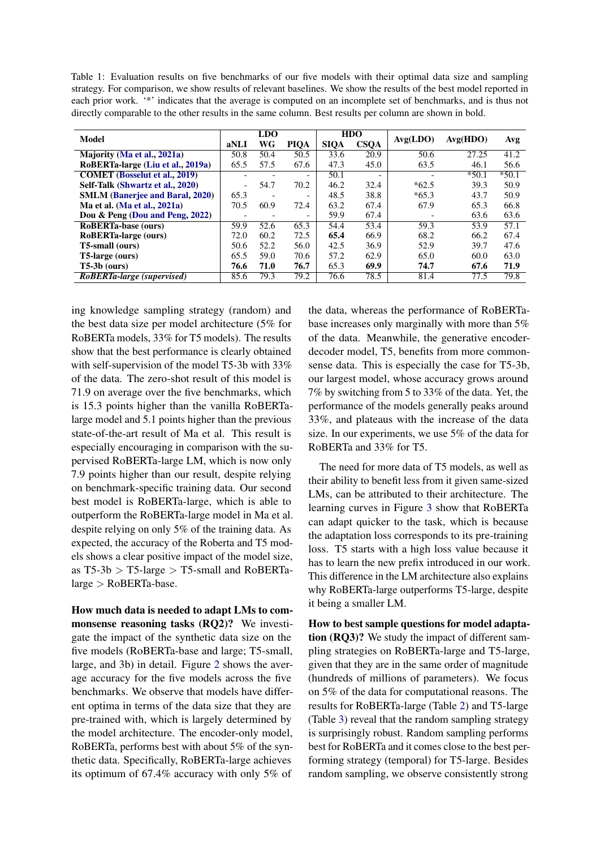<span id="page-5-0"></span>Table 1: Evaluation results on five benchmarks of our five models with their optimal data size and sampling strategy. For comparison, we show results of relevant baselines. We show the results of the best model reported in each prior work. '\*' indicates that the average is computed on an incomplete set of benchmarks, and is thus not directly comparable to the other results in the same column. Best results per column are shown in bold.

| Model                                  |                          | <b>LDO</b> |                          |             | <b>HDO</b>               |          |          | Avg     |  |
|----------------------------------------|--------------------------|------------|--------------------------|-------------|--------------------------|----------|----------|---------|--|
|                                        | aNLI                     | WG         | PIQA                     | <b>SIQA</b> | <b>CSOA</b>              | Avg(LDO) | Avg(HDO) |         |  |
| Majority (Ma et al., 2021a)            | 50.8                     | 50.4       | 50.5                     | 33.6        | 20.9                     | 50.6     | 27.25    | 41.2    |  |
| RoBERTa-large (Liu et al., 2019a)      | 65.5                     | 57.5       | 67.6                     | 47.3        | 45.0                     | 63.5     | 46.1     | 56.6    |  |
| <b>COMET</b> (Bosselut et al., 2019)   | $\overline{\phantom{0}}$ |            | $\overline{\phantom{0}}$ | 50.1        | $\overline{\phantom{0}}$ |          | $*50.1$  | $*50.1$ |  |
| Self-Talk (Shwartz et al., 2020)       | $\overline{\phantom{a}}$ | 54.7       | 70.2                     | 46.2        | 32.4                     | $*62.5$  | 39.3     | 50.9    |  |
| <b>SMLM</b> (Banerjee and Baral, 2020) | 65.3                     |            | $\overline{\phantom{0}}$ | 48.5        | 38.8                     | $*65.3$  | 43.7     | 50.9    |  |
| Ma et al. (Ma et al., 2021a)           | 70.5                     | 60.9       | 72.4                     | 63.2        | 67.4                     | 67.9     | 65.3     | 66.8    |  |
| Dou $\&$ Peng (Dou and Peng, 2022)     | $\overline{\phantom{0}}$ | -          | $\overline{\phantom{0}}$ | 59.9        | 67.4                     |          | 63.6     | 63.6    |  |
| <b>RoBERTa-base (ours)</b>             | 59.9                     | 52.6       | 65.3                     | 54.4        | 53.4                     | 59.3     | 53.9     | 57.1    |  |
| RoBERTa-large (ours)                   | 72.0                     | 60.2       | 72.5                     | 65.4        | 66.9                     | 68.2     | 66.2     | 67.4    |  |
| T5-small (ours)                        | 50.6                     | 52.2       | 56.0                     | 42.5        | 36.9                     | 52.9     | 39.7     | 47.6    |  |
| T5-large (ours)                        | 65.5                     | 59.0       | 70.6                     | 57.2        | 62.9                     | 65.0     | 60.0     | 63.0    |  |
| $T5-3b$ (ours)                         | 76.6                     | 71.0       | 76.7                     | 65.3        | 69.9                     | 74.7     | 67.6     | 71.9    |  |
| RoBERTa-large (supervised)             | 85.6                     | 79.3       | 79.2                     | 76.6        | 78.5                     | 81.4     | 77.5     | 79.8    |  |

ing knowledge sampling strategy (random) and the best data size per model architecture (5% for RoBERTa models, 33% for T5 models). The results show that the best performance is clearly obtained with self-supervision of the model T5-3b with 33% of the data. The zero-shot result of this model is 71.9 on average over the five benchmarks, which is 15.3 points higher than the vanilla RoBERTalarge model and 5.1 points higher than the previous state-of-the-art result of Ma et al. This result is especially encouraging in comparison with the supervised RoBERTa-large LM, which is now only 7.9 points higher than our result, despite relying on benchmark-specific training data. Our second best model is RoBERTa-large, which is able to outperform the RoBERTa-large model in Ma et al. despite relying on only 5% of the training data. As expected, the accuracy of the Roberta and T5 models shows a clear positive impact of the model size, as  $T5-3b > T5$ -large  $> T5$ -small and RoBERTalarge > RoBERTa-base.

How much data is needed to adapt LMs to commonsense reasoning tasks (RQ2)? We investigate the impact of the synthetic data size on the five models (RoBERTa-base and large; T5-small, large, and 3b) in detail. Figure [2](#page-4-0) shows the average accuracy for the five models across the five benchmarks. We observe that models have different optima in terms of the data size that they are pre-trained with, which is largely determined by the model architecture. The encoder-only model, RoBERTa, performs best with about 5% of the synthetic data. Specifically, RoBERTa-large achieves its optimum of 67.4% accuracy with only 5% of the data, whereas the performance of RoBERTabase increases only marginally with more than 5% of the data. Meanwhile, the generative encoderdecoder model, T5, benefits from more commonsense data. This is especially the case for T5-3b, our largest model, whose accuracy grows around 7% by switching from 5 to 33% of the data. Yet, the performance of the models generally peaks around 33%, and plateaus with the increase of the data size. In our experiments, we use 5% of the data for RoBERTa and 33% for T5.

The need for more data of T5 models, as well as their ability to benefit less from it given same-sized LMs, can be attributed to their architecture. The learning curves in Figure [3](#page-6-0) show that RoBERTa can adapt quicker to the task, which is because the adaptation loss corresponds to its pre-training loss. T5 starts with a high loss value because it has to learn the new prefix introduced in our work. This difference in the LM architecture also explains why RoBERTa-large outperforms T5-large, despite it being a smaller LM.

How to best sample questions for model adaptation (RQ3)? We study the impact of different sampling strategies on RoBERTa-large and T5-large, given that they are in the same order of magnitude (hundreds of millions of parameters). We focus on 5% of the data for computational reasons. The results for RoBERTa-large (Table [2\)](#page-6-1) and T5-large (Table [3\)](#page-6-2) reveal that the random sampling strategy is surprisingly robust. Random sampling performs best for RoBERTa and it comes close to the best performing strategy (temporal) for T5-large. Besides random sampling, we observe consistently strong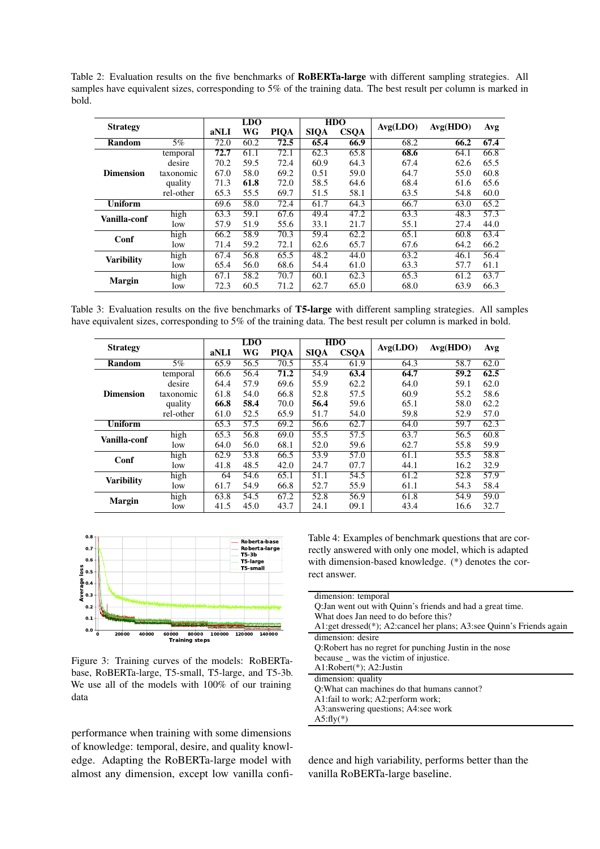<span id="page-6-1"></span>Table 2: Evaluation results on the five benchmarks of RoBERTa-large with different sampling strategies. All samples have equivalent sizes, corresponding to 5% of the training data. The best result per column is marked in bold.

| <b>Strategy</b>   |           | <b>LDO</b> |      |             | <b>HDO</b>  | Avg(LDO)    | Avg(HDO) | Avg  |                   |  |
|-------------------|-----------|------------|------|-------------|-------------|-------------|----------|------|-------------------|--|
|                   |           | aNLI       | WG   | <b>PIQA</b> | <b>SIQA</b> | <b>CSQA</b> |          |      |                   |  |
| 5%<br>Random      |           | 72.0       | 60.2 | 72.5        | 65.4        | 66.9        | 68.2     | 66.2 | 67.4              |  |
|                   | temporal  | 72.7       | 61.1 | 72.1        | 62.3        | 65.8        | 68.6     | 64.1 | 66.8              |  |
|                   | desire    | 70.2       | 59.5 | 72.4        | 60.9        | 64.3        | 67.4     | 62.6 | 65.5              |  |
| <b>Dimension</b>  | taxonomic | 67.0       | 58.0 | 69.2        | 0.51        | 59.0        | 64.7     | 55.0 | 60.8              |  |
|                   | quality   | 71.3       | 61.8 | 72.0        | 58.5        | 64.6        | 68.4     | 61.6 | 65.6              |  |
|                   | rel-other | 65.3       | 55.5 | 69.7        | 51.5        | 58.1        | 63.5     | 54.8 | 60.0              |  |
| <b>Uniform</b>    |           | 69.6       | 58.0 | 72.4        | 61.7        | 64.3        | 66.7     | 63.0 | 65.2              |  |
| Vanilla-conf      | high      | 63.3       | 59.1 | 67.6        | 49.4        | 47.2        | 63.3     | 48.3 | $\overline{57.3}$ |  |
|                   | low       | 57.9       | 51.9 | 55.6        | 33.1        | 21.7        | 55.1     | 27.4 | 44.0              |  |
| Conf              | high      | 66.2       | 58.9 | 70.3        | 59.4        | 62.2        | 65.1     | 60.8 | 63.4              |  |
|                   | low       | 71.4       | 59.2 | 72.1        | 62.6        | 65.7        | 67.6     | 64.2 | 66.2              |  |
| <b>Varibility</b> | high      | 67.4       | 56.8 | 65.5        | 48.2        | 44.0        | 63.2     | 46.1 | 56.4              |  |
|                   | low       | 65.4       | 56.0 | 68.6        | 54.4        | 61.0        | 63.3     | 57.7 | 61.1              |  |
| <b>Margin</b>     | high      | 67.1       | 58.2 | 70.7        | 60.1        | 62.3        | 65.3     | 61.2 | 63.7              |  |
|                   | low       | 72.3       | 60.5 | 71.2        | 62.7        | 65.0        | 68.0     | 63.9 | 66.3              |  |

<span id="page-6-2"></span>Table 3: Evaluation results on the five benchmarks of T5-large with different sampling strategies. All samples have equivalent sizes, corresponding to 5% of the training data. The best result per column is marked in bold.

| <b>Strategy</b>   |           | <b>LDO</b> |      |             | <b>HDO</b>        | Avg(LDO)    | Avg(HDO) |      |      |
|-------------------|-----------|------------|------|-------------|-------------------|-------------|----------|------|------|
|                   |           | aNLI       | WG   | <b>PIOA</b> | <b>SIQA</b>       | <b>CSQA</b> |          |      | Avg  |
| <b>Random</b>     | $5\%$     | 65.9       | 56.5 | 70.5        | 55.4              | 61.9        | 64.3     | 58.7 | 62.0 |
|                   | temporal  | 66.6       | 56.4 | 71.2        | 54.9              | 63.4        | 64.7     | 59.2 | 62.5 |
|                   | desire    | 64.4       | 57.9 | 69.6        | 55.9              | 62.2        | 64.0     | 59.1 | 62.0 |
| <b>Dimension</b>  | taxonomic | 61.8       | 54.0 | 66.8        | 52.8              | 57.5        | 60.9     | 55.2 | 58.6 |
|                   | quality   | 66.8       | 58.4 | 70.0        | 56.4              | 59.6        | 65.1     | 58.0 | 62.2 |
|                   | rel-other | 61.0       | 52.5 | 65.9        | 51.7              | 54.0        | 59.8     | 52.9 | 57.0 |
| <b>Uniform</b>    |           | 65.3       | 57.5 | 69.2        | 56.6              | 62.7        | 64.0     | 59.7 | 62.3 |
| Vanilla-conf      | high      | 65.3       | 56.8 | 69.0        | $\overline{55.5}$ | 57.5        | 63.7     | 56.5 | 60.8 |
|                   | low       | 64.0       | 56.0 | 68.1        | 52.0              | 59.6        | 62.7     | 55.8 | 59.9 |
| Conf              | high      | 62.9       | 53.8 | 66.5        | 53.9              | 57.0        | 61.1     | 55.5 | 58.8 |
|                   | low       | 41.8       | 48.5 | 42.0        | 24.7              | 07.7        | 44.1     | 16.2 | 32.9 |
| <b>Varibility</b> | high      | 64         | 54.6 | 65.1        | 51.1              | 54.5        | 61.2     | 52.8 | 57.9 |
|                   | low       | 61.7       | 54.9 | 66.8        | 52.7              | 55.9        | 61.1     | 54.3 | 58.4 |
|                   | high      | 63.8       | 54.5 | 67.2        | 52.8              | 56.9        | 61.8     | 54.9 | 59.0 |
| <b>Margin</b>     | low       | 41.5       | 45.0 | 43.7        | 24.1              | 09.1        | 43.4     | 16.6 | 32.7 |

<span id="page-6-0"></span>

Figure 3: Training curves of the models: RoBERTabase, RoBERTa-large, T5-small, T5-large, and T5-3b. We use all of the models with 100% of our training data

performance when training with some dimensions of knowledge: temporal, desire, and quality knowledge. Adapting the RoBERTa-large model with almost any dimension, except low vanilla confi<span id="page-6-3"></span>Table 4: Examples of benchmark questions that are correctly answered with only one model, which is adapted with dimension-based knowledge. (\*) denotes the correct answer.

| dimension: temporal                                                  |  |
|----------------------------------------------------------------------|--|
| Q: Jan went out with Quinn's friends and had a great time.           |  |
| What does Jan need to do before this?                                |  |
| A1:get dressed(*); A2:cancel her plans; A3:see Quinn's Friends again |  |
| dimension: desire                                                    |  |
| Q:Robert has no regret for punching Justin in the nose               |  |
| because <u>was</u> the victim of injustice.                          |  |
| $A1:Robert(*); A2:Justin$                                            |  |
| dimension: quality                                                   |  |
| Q: What can machines do that humans cannot?                          |  |
| A1: fail to work; A2: perform work;                                  |  |
| A3: answering questions; A4: see work                                |  |
| $A5:fly(*)$                                                          |  |
|                                                                      |  |

dence and high variability, performs better than the vanilla RoBERTa-large baseline.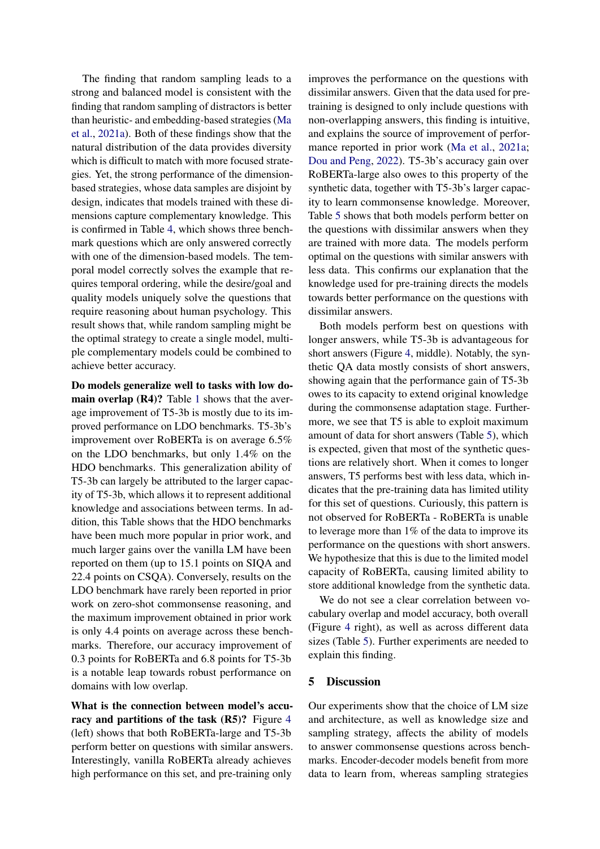The finding that random sampling leads to a strong and balanced model is consistent with the finding that random sampling of distractors is better than heuristic- and embedding-based strategies [\(Ma](#page-11-6) [et al.,](#page-11-6) [2021a\)](#page-11-6). Both of these findings show that the natural distribution of the data provides diversity which is difficult to match with more focused strategies. Yet, the strong performance of the dimensionbased strategies, whose data samples are disjoint by design, indicates that models trained with these dimensions capture complementary knowledge. This is confirmed in Table [4,](#page-6-3) which shows three benchmark questions which are only answered correctly with one of the dimension-based models. The temporal model correctly solves the example that requires temporal ordering, while the desire/goal and quality models uniquely solve the questions that require reasoning about human psychology. This result shows that, while random sampling might be the optimal strategy to create a single model, multiple complementary models could be combined to achieve better accuracy.

Do models generalize well to tasks with low domain overlap (R4)? Table [1](#page-5-0) shows that the average improvement of T5-3b is mostly due to its improved performance on LDO benchmarks. T5-3b's improvement over RoBERTa is on average 6.5% on the LDO benchmarks, but only 1.4% on the HDO benchmarks. This generalization ability of T5-3b can largely be attributed to the larger capacity of T5-3b, which allows it to represent additional knowledge and associations between terms. In addition, this Table shows that the HDO benchmarks have been much more popular in prior work, and much larger gains over the vanilla LM have been reported on them (up to 15.1 points on SIQA and 22.4 points on CSQA). Conversely, results on the LDO benchmark have rarely been reported in prior work on zero-shot commonsense reasoning, and the maximum improvement obtained in prior work is only 4.4 points on average across these benchmarks. Therefore, our accuracy improvement of 0.3 points for RoBERTa and 6.8 points for T5-3b is a notable leap towards robust performance on domains with low overlap.

What is the connection between model's accuracy and partitions of the task (R5)? Figure [4](#page-8-0) (left) shows that both RoBERTa-large and T5-3b perform better on questions with similar answers. Interestingly, vanilla RoBERTa already achieves high performance on this set, and pre-training only

improves the performance on the questions with dissimilar answers. Given that the data used for pretraining is designed to only include questions with non-overlapping answers, this finding is intuitive, and explains the source of improvement of performance reported in prior work [\(Ma et al.,](#page-11-6) [2021a;](#page-11-6) [Dou and Peng,](#page-10-3) [2022\)](#page-10-3). T5-3b's accuracy gain over RoBERTa-large also owes to this property of the synthetic data, together with T5-3b's larger capacity to learn commonsense knowledge. Moreover, Table [5](#page-8-1) shows that both models perform better on the questions with dissimilar answers when they are trained with more data. The models perform optimal on the questions with similar answers with less data. This confirms our explanation that the knowledge used for pre-training directs the models towards better performance on the questions with dissimilar answers.

Both models perform best on questions with longer answers, while T5-3b is advantageous for short answers (Figure [4,](#page-8-0) middle). Notably, the synthetic QA data mostly consists of short answers, showing again that the performance gain of T5-3b owes to its capacity to extend original knowledge during the commonsense adaptation stage. Furthermore, we see that T5 is able to exploit maximum amount of data for short answers (Table [5\)](#page-8-1), which is expected, given that most of the synthetic questions are relatively short. When it comes to longer answers, T5 performs best with less data, which indicates that the pre-training data has limited utility for this set of questions. Curiously, this pattern is not observed for RoBERTa - RoBERTa is unable to leverage more than 1% of the data to improve its performance on the questions with short answers. We hypothesize that this is due to the limited model capacity of RoBERTa, causing limited ability to store additional knowledge from the synthetic data.

We do not see a clear correlation between vocabulary overlap and model accuracy, both overall (Figure [4](#page-8-0) right), as well as across different data sizes (Table [5\)](#page-8-1). Further experiments are needed to explain this finding.

#### 5 Discussion

Our experiments show that the choice of LM size and architecture, as well as knowledge size and sampling strategy, affects the ability of models to answer commonsense questions across benchmarks. Encoder-decoder models benefit from more data to learn from, whereas sampling strategies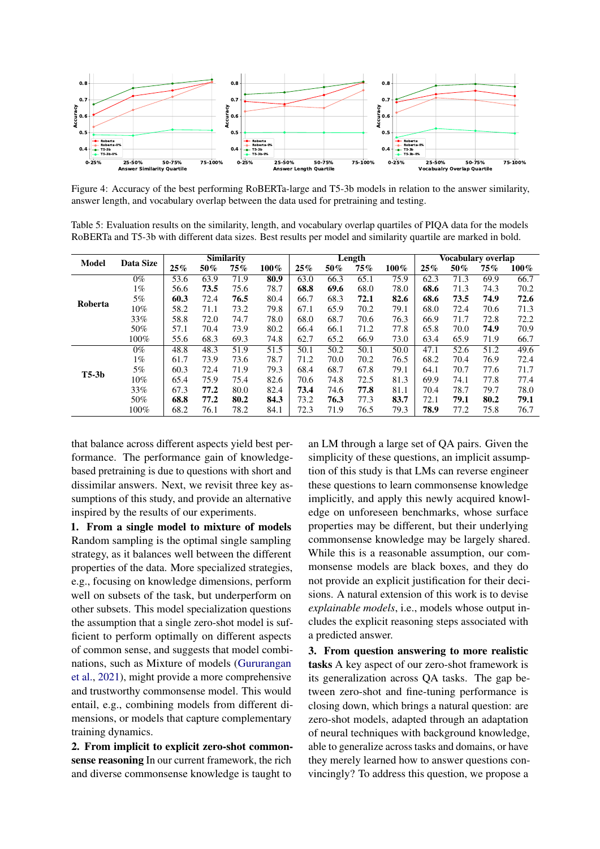<span id="page-8-0"></span>

Figure 4: Accuracy of the best performing RoBERTa-large and T5-3b models in relation to the answer similarity, answer length, and vocabulary overlap between the data used for pretraining and testing.

<span id="page-8-1"></span>Table 5: Evaluation results on the similarity, length, and vocabulary overlap quartiles of PIQA data for the models RoBERTa and T5-3b with different data sizes. Best results per model and similarity quartile are marked in bold.

| <b>Model</b> | Data Size | <b>Similarity</b> |      |      |         |      |      | Length |         | Vocabulary overlap |      |      |         |
|--------------|-----------|-------------------|------|------|---------|------|------|--------|---------|--------------------|------|------|---------|
|              |           | 25%               | 50%  | 75%  | $100\%$ | 25%  | 50%  | 75%    | $100\%$ | 25%                | 50%  | 75%  | $100\%$ |
|              | $0\%$     | 53.6              | 63.9 | 71.9 | 80.9    | 63.0 | 66.3 | 65.1   | 75.9    | 62.3               | 71.3 | 69.9 | 66.7    |
|              | $1\%$     | 56.6              | 73.5 | 75.6 | 78.7    | 68.8 | 69.6 | 68.0   | 78.0    | 68.6               | 71.3 | 74.3 | 70.2    |
| Roberta      | 5%        | 60.3              | 72.4 | 76.5 | 80.4    | 66.7 | 68.3 | 72.1   | 82.6    | 68.6               | 73.5 | 74.9 | 72.6    |
|              | $10\%$    | 58.2              | 71.1 | 73.2 | 79.8    | 67.1 | 65.9 | 70.2   | 79.1    | 68.0               | 72.4 | 70.6 | 71.3    |
|              | 33%       | 58.8              | 72.0 | 74.7 | 78.0    | 68.0 | 68.7 | 70.6   | 76.3    | 66.9               | 71.7 | 72.8 | 72.2    |
|              | 50%       | 57.1              | 70.4 | 73.9 | 80.2    | 66.4 | 66.1 | 71.2   | 77.8    | 65.8               | 70.0 | 74.9 | 70.9    |
|              | 100%      | 55.6              | 68.3 | 69.3 | 74.8    | 62.7 | 65.2 | 66.9   | 73.0    | 63.4               | 65.9 | 71.9 | 66.7    |
|              | $0\%$     | 48.8              | 48.3 | 51.9 | 51.5    | 50.1 | 50.2 | 50.1   | 50.0    | 47.1               | 52.6 | 51.2 | 49.6    |
|              | $1\%$     | 61.7              | 73.9 | 73.6 | 78.7    | 71.2 | 70.0 | 70.2   | 76.5    | 68.2               | 70.4 | 76.9 | 72.4    |
| $T5-3b$      | 5%        | 60.3              | 72.4 | 71.9 | 79.3    | 68.4 | 68.7 | 67.8   | 79.1    | 64.1               | 70.7 | 77.6 | 71.7    |
|              | $10\%$    | 65.4              | 75.9 | 75.4 | 82.6    | 70.6 | 74.8 | 72.5   | 81.3    | 69.9               | 74.1 | 77.8 | 77.4    |
|              | 33%       | 67.3              | 77.2 | 80.0 | 82.4    | 73.4 | 74.6 | 77.8   | 81.1    | 70.4               | 78.7 | 79.7 | 78.0    |
|              | 50%       | 68.8              | 77.2 | 80.2 | 84.3    | 73.2 | 76.3 | 77.3   | 83.7    | 72.1               | 79.1 | 80.2 | 79.1    |
|              | 100%      | 68.2              | 76.1 | 78.2 | 84.1    | 72.3 | 71.9 | 76.5   | 79.3    | 78.9               | 77.2 | 75.8 | 76.7    |

that balance across different aspects yield best performance. The performance gain of knowledgebased pretraining is due to questions with short and dissimilar answers. Next, we revisit three key assumptions of this study, and provide an alternative inspired by the results of our experiments.

1. From a single model to mixture of models Random sampling is the optimal single sampling strategy, as it balances well between the different properties of the data. More specialized strategies, e.g., focusing on knowledge dimensions, perform well on subsets of the task, but underperform on other subsets. This model specialization questions the assumption that a single zero-shot model is sufficient to perform optimally on different aspects of common sense, and suggests that model combinations, such as Mixture of models [\(Gururangan](#page-10-8) [et al.,](#page-10-8) [2021\)](#page-10-8), might provide a more comprehensive and trustworthy commonsense model. This would entail, e.g., combining models from different dimensions, or models that capture complementary training dynamics.

2. From implicit to explicit zero-shot commonsense reasoning In our current framework, the rich and diverse commonsense knowledge is taught to

an LM through a large set of QA pairs. Given the simplicity of these questions, an implicit assumption of this study is that LMs can reverse engineer these questions to learn commonsense knowledge implicitly, and apply this newly acquired knowledge on unforeseen benchmarks, whose surface properties may be different, but their underlying commonsense knowledge may be largely shared. While this is a reasonable assumption, our commonsense models are black boxes, and they do not provide an explicit justification for their decisions. A natural extension of this work is to devise *explainable models*, i.e., models whose output includes the explicit reasoning steps associated with a predicted answer.

3. From question answering to more realistic tasks A key aspect of our zero-shot framework is its generalization across QA tasks. The gap between zero-shot and fine-tuning performance is closing down, which brings a natural question: are zero-shot models, adapted through an adaptation of neural techniques with background knowledge, able to generalize across tasks and domains, or have they merely learned how to answer questions convincingly? To address this question, we propose a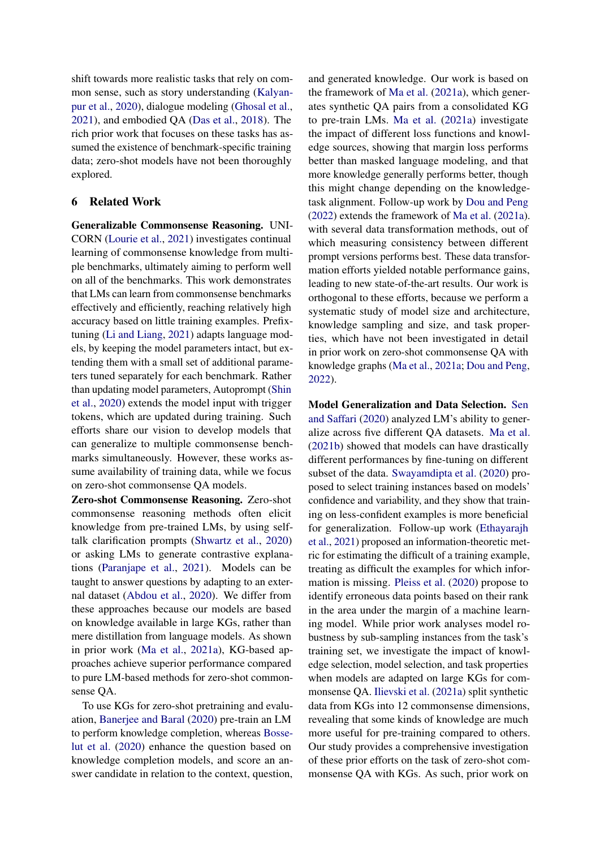shift towards more realistic tasks that rely on common sense, such as story understanding [\(Kalyan](#page-11-20)[pur et al.,](#page-11-20) [2020\)](#page-11-20), dialogue modeling [\(Ghosal et al.,](#page-10-9) [2021\)](#page-10-9), and embodied QA [\(Das et al.,](#page-10-10) [2018\)](#page-10-10). The rich prior work that focuses on these tasks has assumed the existence of benchmark-specific training data; zero-shot models have not been thoroughly explored.

## 6 Related Work

Generalizable Commonsense Reasoning. UNI-CORN [\(Lourie et al.,](#page-11-21) [2021\)](#page-11-21) investigates continual learning of commonsense knowledge from multiple benchmarks, ultimately aiming to perform well on all of the benchmarks. This work demonstrates that LMs can learn from commonsense benchmarks effectively and efficiently, reaching relatively high accuracy based on little training examples. Prefixtuning [\(Li and Liang,](#page-11-4) [2021\)](#page-11-4) adapts language models, by keeping the model parameters intact, but extending them with a small set of additional parameters tuned separately for each benchmark. Rather than updating model parameters, Autoprompt [\(Shin](#page-12-1) [et al.,](#page-12-1) [2020\)](#page-12-1) extends the model input with trigger tokens, which are updated during training. Such efforts share our vision to develop models that can generalize to multiple commonsense benchmarks simultaneously. However, these works assume availability of training data, while we focus on zero-shot commonsense QA models.

Zero-shot Commonsense Reasoning. Zero-shot commonsense reasoning methods often elicit knowledge from pre-trained LMs, by using selftalk clarification prompts [\(Shwartz et al.,](#page-12-2) [2020\)](#page-12-2) or asking LMs to generate contrastive explanations [\(Paranjape et al.,](#page-11-7) [2021\)](#page-11-7). Models can be taught to answer questions by adapting to an external dataset [\(Abdou et al.,](#page-10-11) [2020\)](#page-10-11). We differ from these approaches because our models are based on knowledge available in large KGs, rather than mere distillation from language models. As shown in prior work [\(Ma et al.,](#page-11-6) [2021a\)](#page-11-6), KG-based approaches achieve superior performance compared to pure LM-based methods for zero-shot commonsense QA.

To use KGs for zero-shot pretraining and evaluation, [Banerjee and Baral](#page-10-2) [\(2020\)](#page-10-2) pre-train an LM to perform knowledge completion, whereas [Bosse](#page-10-12)[lut et al.](#page-10-12) [\(2020\)](#page-10-12) enhance the question based on knowledge completion models, and score an answer candidate in relation to the context, question, and generated knowledge. Our work is based on the framework of [Ma et al.](#page-11-6) [\(2021a\)](#page-11-6), which generates synthetic QA pairs from a consolidated KG to pre-train LMs. [Ma et al.](#page-11-6) [\(2021a\)](#page-11-6) investigate the impact of different loss functions and knowledge sources, showing that margin loss performs better than masked language modeling, and that more knowledge generally performs better, though this might change depending on the knowledgetask alignment. Follow-up work by [Dou and Peng](#page-10-3) [\(2022\)](#page-10-3) extends the framework of [Ma et al.](#page-11-6) [\(2021a\)](#page-11-6). with several data transformation methods, out of which measuring consistency between different prompt versions performs best. These data transformation efforts yielded notable performance gains, leading to new state-of-the-art results. Our work is orthogonal to these efforts, because we perform a systematic study of model size and architecture, knowledge sampling and size, and task properties, which have not been investigated in detail in prior work on zero-shot commonsense QA with knowledge graphs [\(Ma et al.,](#page-11-6) [2021a;](#page-11-6) [Dou and Peng,](#page-10-3) [2022\)](#page-10-3).

Model Generalization and Data Selection. [Sen](#page-12-7) [and Saffari](#page-12-7) [\(2020\)](#page-12-7) analyzed LM's ability to generalize across five different QA datasets. [Ma et al.](#page-11-5) [\(2021b\)](#page-11-5) showed that models can have drastically different performances by fine-tuning on different subset of the data. [Swayamdipta et al.](#page-12-3) [\(2020\)](#page-12-3) proposed to select training instances based on models' confidence and variability, and they show that training on less-confident examples is more beneficial for generalization. Follow-up work [\(Ethayarajh](#page-10-13) [et al.,](#page-10-13) [2021\)](#page-10-13) proposed an information-theoretic metric for estimating the difficult of a training example, treating as difficult the examples for which information is missing. [Pleiss et al.](#page-11-10) [\(2020\)](#page-11-10) propose to identify erroneous data points based on their rank in the area under the margin of a machine learning model. While prior work analyses model robustness by sub-sampling instances from the task's training set, we investigate the impact of knowledge selection, model selection, and task properties when models are adapted on large KGs for commonsense QA. [Ilievski et al.](#page-11-9) [\(2021a\)](#page-11-9) split synthetic data from KGs into 12 commonsense dimensions, revealing that some kinds of knowledge are much more useful for pre-training compared to others. Our study provides a comprehensive investigation of these prior efforts on the task of zero-shot commonsense QA with KGs. As such, prior work on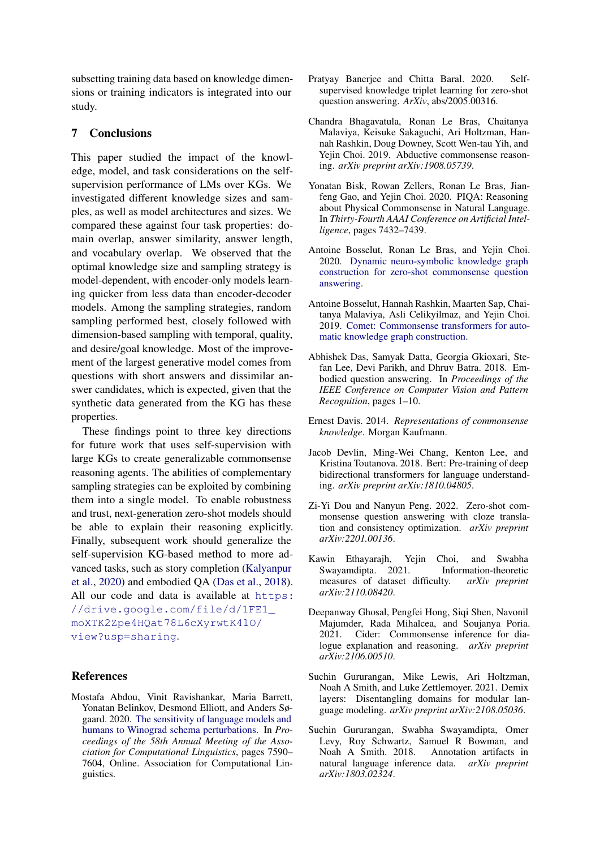subsetting training data based on knowledge dimensions or training indicators is integrated into our study.

## 7 Conclusions

This paper studied the impact of the knowledge, model, and task considerations on the selfsupervision performance of LMs over KGs. We investigated different knowledge sizes and samples, as well as model architectures and sizes. We compared these against four task properties: domain overlap, answer similarity, answer length, and vocabulary overlap. We observed that the optimal knowledge size and sampling strategy is model-dependent, with encoder-only models learning quicker from less data than encoder-decoder models. Among the sampling strategies, random sampling performed best, closely followed with dimension-based sampling with temporal, quality, and desire/goal knowledge. Most of the improvement of the largest generative model comes from questions with short answers and dissimilar answer candidates, which is expected, given that the synthetic data generated from the KG has these properties.

These findings point to three key directions for future work that uses self-supervision with large KGs to create generalizable commonsense reasoning agents. The abilities of complementary sampling strategies can be exploited by combining them into a single model. To enable robustness and trust, next-generation zero-shot models should be able to explain their reasoning explicitly. Finally, subsequent work should generalize the self-supervision KG-based method to more advanced tasks, such as story completion [\(Kalyanpur](#page-11-20) [et al.,](#page-11-20) [2020\)](#page-11-20) and embodied QA [\(Das et al.,](#page-10-10) [2018\)](#page-10-10). All our code and data is available at [https:](https://drive.google.com/file/d/1FE1_moXTK2Zpe4HQat78L6cXyrwtK4lO/view?usp=sharing) [//drive.google.com/file/d/1FE1\\_](https://drive.google.com/file/d/1FE1_moXTK2Zpe4HQat78L6cXyrwtK4lO/view?usp=sharing) [moXTK2Zpe4HQat78L6cXyrwtK4lO/](https://drive.google.com/file/d/1FE1_moXTK2Zpe4HQat78L6cXyrwtK4lO/view?usp=sharing) [view?usp=sharing](https://drive.google.com/file/d/1FE1_moXTK2Zpe4HQat78L6cXyrwtK4lO/view?usp=sharing).

#### References

<span id="page-10-11"></span>Mostafa Abdou, Vinit Ravishankar, Maria Barrett, Yonatan Belinkov, Desmond Elliott, and Anders Søgaard. 2020. [The sensitivity of language models and](https://doi.org/10.18653/v1/2020.acl-main.679) [humans to Winograd schema perturbations.](https://doi.org/10.18653/v1/2020.acl-main.679) In *Proceedings of the 58th Annual Meeting of the Association for Computational Linguistics*, pages 7590– 7604, Online. Association for Computational Linguistics.

- <span id="page-10-2"></span>Pratyay Banerjee and Chitta Baral. 2020. Selfsupervised knowledge triplet learning for zero-shot question answering. *ArXiv*, abs/2005.00316.
- <span id="page-10-5"></span>Chandra Bhagavatula, Ronan Le Bras, Chaitanya Malaviya, Keisuke Sakaguchi, Ari Holtzman, Hannah Rashkin, Doug Downey, Scott Wen-tau Yih, and Yejin Choi. 2019. Abductive commonsense reasoning. *arXiv preprint arXiv:1908.05739*.
- <span id="page-10-6"></span>Yonatan Bisk, Rowan Zellers, Ronan Le Bras, Jianfeng Gao, and Yejin Choi. 2020. PIQA: Reasoning about Physical Commonsense in Natural Language. In *Thirty-Fourth AAAI Conference on Artificial Intelligence*, pages 7432–7439.
- <span id="page-10-12"></span>Antoine Bosselut, Ronan Le Bras, and Yejin Choi. 2020. [Dynamic neuro-symbolic knowledge graph](http://arxiv.org/abs/1911.03876) [construction for zero-shot commonsense question](http://arxiv.org/abs/1911.03876) [answering.](http://arxiv.org/abs/1911.03876)
- <span id="page-10-7"></span>Antoine Bosselut, Hannah Rashkin, Maarten Sap, Chaitanya Malaviya, Asli Celikyilmaz, and Yejin Choi. 2019. [Comet: Commonsense transformers for auto](http://arxiv.org/abs/1906.05317)[matic knowledge graph construction.](http://arxiv.org/abs/1906.05317)
- <span id="page-10-10"></span>Abhishek Das, Samyak Datta, Georgia Gkioxari, Stefan Lee, Devi Parikh, and Dhruv Batra. 2018. Embodied question answering. In *Proceedings of the IEEE Conference on Computer Vision and Pattern Recognition*, pages 1–10.
- <span id="page-10-0"></span>Ernest Davis. 2014. *Representations of commonsense knowledge*. Morgan Kaufmann.
- <span id="page-10-1"></span>Jacob Devlin, Ming-Wei Chang, Kenton Lee, and Kristina Toutanova. 2018. Bert: Pre-training of deep bidirectional transformers for language understanding. *arXiv preprint arXiv:1810.04805*.
- <span id="page-10-3"></span>Zi-Yi Dou and Nanyun Peng. 2022. Zero-shot commonsense question answering with cloze translation and consistency optimization. *arXiv preprint arXiv:2201.00136*.
- <span id="page-10-13"></span>Kawin Ethayarajh, Yejin Choi, and Swabha Swayamdipta. 2021. Information-theoretic measures of dataset difficulty. *arXiv preprint arXiv:2110.08420*.
- <span id="page-10-9"></span>Deepanway Ghosal, Pengfei Hong, Siqi Shen, Navonil Majumder, Rada Mihalcea, and Soujanya Poria. 2021. Cider: Commonsense inference for dialogue explanation and reasoning. *arXiv preprint arXiv:2106.00510*.
- <span id="page-10-8"></span>Suchin Gururangan, Mike Lewis, Ari Holtzman, Noah A Smith, and Luke Zettlemoyer. 2021. Demix layers: Disentangling domains for modular language modeling. *arXiv preprint arXiv:2108.05036*.
- <span id="page-10-4"></span>Suchin Gururangan, Swabha Swayamdipta, Omer Levy, Roy Schwartz, Samuel R Bowman, and Noah A Smith. 2018. Annotation artifacts in natural language inference data. *arXiv preprint arXiv:1803.02324*.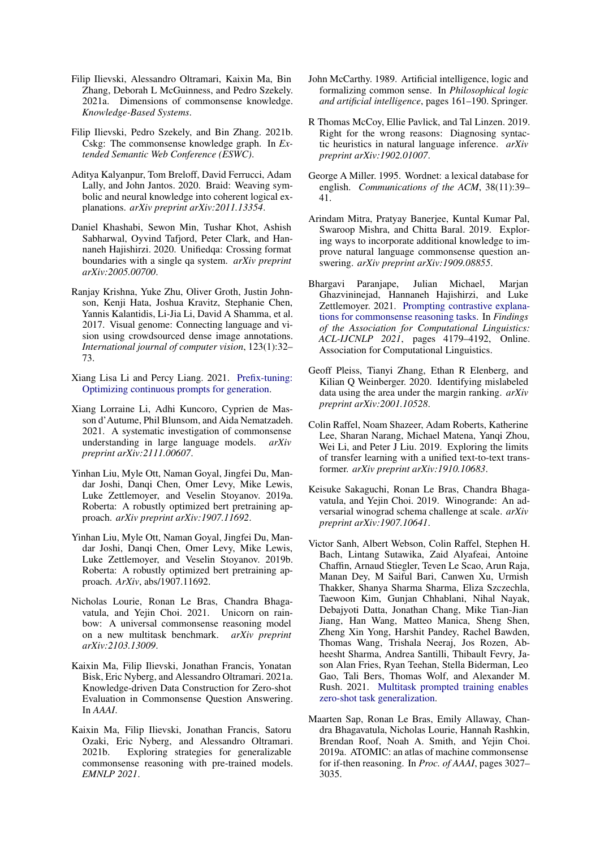- <span id="page-11-9"></span>Filip Ilievski, Alessandro Oltramari, Kaixin Ma, Bin Zhang, Deborah L McGuinness, and Pedro Szekely. 2021a. Dimensions of commonsense knowledge. *Knowledge-Based Systems*.
- <span id="page-11-14"></span>Filip Ilievski, Pedro Szekely, and Bin Zhang. 2021b. Cskg: The commonsense knowledge graph. In *Extended Semantic Web Conference (ESWC)*.
- <span id="page-11-20"></span>Aditya Kalyanpur, Tom Breloff, David Ferrucci, Adam Lally, and John Jantos. 2020. Braid: Weaving symbolic and neural knowledge into coherent logical explanations. *arXiv preprint arXiv:2011.13354*.
- <span id="page-11-17"></span>Daniel Khashabi, Sewon Min, Tushar Khot, Ashish Sabharwal, Oyvind Tafjord, Peter Clark, and Hannaneh Hajishirzi. 2020. Unifiedqa: Crossing format boundaries with a single qa system. *arXiv preprint arXiv:2005.00700*.
- <span id="page-11-2"></span>Ranjay Krishna, Yuke Zhu, Oliver Groth, Justin Johnson, Kenji Hata, Joshua Kravitz, Stephanie Chen, Yannis Kalantidis, Li-Jia Li, David A Shamma, et al. 2017. Visual genome: Connecting language and vision using crowdsourced dense image annotations. *International journal of computer vision*, 123(1):32– 73.
- <span id="page-11-4"></span>Xiang Lisa Li and Percy Liang. 2021. [Prefix-tuning:](http://arxiv.org/abs/2101.00190) [Optimizing continuous prompts for generation.](http://arxiv.org/abs/2101.00190)
- <span id="page-11-13"></span>Xiang Lorraine Li, Adhi Kuncoro, Cyprien de Masson d'Autume, Phil Blunsom, and Aida Nematzadeh. 2021. A systematic investigation of commonsense understanding in large language models. *arXiv preprint arXiv:2111.00607*.
- <span id="page-11-3"></span>Yinhan Liu, Myle Ott, Naman Goyal, Jingfei Du, Mandar Joshi, Danqi Chen, Omer Levy, Mike Lewis, Luke Zettlemoyer, and Veselin Stoyanov. 2019a. Roberta: A robustly optimized bert pretraining approach. *arXiv preprint arXiv:1907.11692*.
- <span id="page-11-15"></span>Yinhan Liu, Myle Ott, Naman Goyal, Jingfei Du, Mandar Joshi, Danqi Chen, Omer Levy, Mike Lewis, Luke Zettlemoyer, and Veselin Stoyanov. 2019b. Roberta: A robustly optimized bert pretraining approach. *ArXiv*, abs/1907.11692.
- <span id="page-11-21"></span>Nicholas Lourie, Ronan Le Bras, Chandra Bhagavatula, and Yejin Choi. 2021. Unicorn on rainbow: A universal commonsense reasoning model on a new multitask benchmark. *arXiv preprint arXiv:2103.13009*.
- <span id="page-11-6"></span>Kaixin Ma, Filip Ilievski, Jonathan Francis, Yonatan Bisk, Eric Nyberg, and Alessandro Oltramari. 2021a. Knowledge-driven Data Construction for Zero-shot Evaluation in Commonsense Question Answering. In *AAAI*.
- <span id="page-11-5"></span>Kaixin Ma, Filip Ilievski, Jonathan Francis, Satoru Ozaki, Eric Nyberg, and Alessandro Oltramari. 2021b. Exploring strategies for generalizable commonsense reasoning with pre-trained models. *EMNLP 2021*.
- <span id="page-11-0"></span>John McCarthy. 1989. Artificial intelligence, logic and formalizing common sense. In *Philosophical logic and artificial intelligence*, pages 161–190. Springer.
- <span id="page-11-12"></span>R Thomas McCoy, Ellie Pavlick, and Tal Linzen. 2019. Right for the wrong reasons: Diagnosing syntactic heuristics in natural language inference. *arXiv preprint arXiv:1902.01007*.
- <span id="page-11-18"></span>George A Miller. 1995. Wordnet: a lexical database for english. *Communications of the ACM*, 38(11):39– 41.
- <span id="page-11-11"></span>Arindam Mitra, Pratyay Banerjee, Kuntal Kumar Pal, Swaroop Mishra, and Chitta Baral. 2019. Exploring ways to incorporate additional knowledge to improve natural language commonsense question answering. *arXiv preprint arXiv:1909.08855*.
- <span id="page-11-7"></span>Bhargavi Paranjape, Julian Michael, Marjan Ghazvininejad, Hannaneh Hajishirzi, and Luke Zettlemoyer. 2021. [Prompting contrastive explana](https://doi.org/10.18653/v1/2021.findings-acl.366)[tions for commonsense reasoning tasks.](https://doi.org/10.18653/v1/2021.findings-acl.366) In *Findings of the Association for Computational Linguistics: ACL-IJCNLP 2021*, pages 4179–4192, Online. Association for Computational Linguistics.
- <span id="page-11-10"></span>Geoff Pleiss, Tianyi Zhang, Ethan R Elenberg, and Kilian Q Weinberger. 2020. Identifying mislabeled data using the area under the margin ranking. *arXiv preprint arXiv:2001.10528*.
- <span id="page-11-16"></span>Colin Raffel, Noam Shazeer, Adam Roberts, Katherine Lee, Sharan Narang, Michael Matena, Yanqi Zhou, Wei Li, and Peter J Liu. 2019. Exploring the limits of transfer learning with a unified text-to-text transformer. *arXiv preprint arXiv:1910.10683*.
- <span id="page-11-19"></span>Keisuke Sakaguchi, Ronan Le Bras, Chandra Bhagavatula, and Yejin Choi. 2019. Winogrande: An adversarial winograd schema challenge at scale. *arXiv preprint arXiv:1907.10641*.
- <span id="page-11-8"></span>Victor Sanh, Albert Webson, Colin Raffel, Stephen H. Bach, Lintang Sutawika, Zaid Alyafeai, Antoine Chaffin, Arnaud Stiegler, Teven Le Scao, Arun Raja, Manan Dey, M Saiful Bari, Canwen Xu, Urmish Thakker, Shanya Sharma Sharma, Eliza Szczechla, Taewoon Kim, Gunjan Chhablani, Nihal Nayak, Debajyoti Datta, Jonathan Chang, Mike Tian-Jian Jiang, Han Wang, Matteo Manica, Sheng Shen, Zheng Xin Yong, Harshit Pandey, Rachel Bawden, Thomas Wang, Trishala Neeraj, Jos Rozen, Abheesht Sharma, Andrea Santilli, Thibault Fevry, Jason Alan Fries, Ryan Teehan, Stella Biderman, Leo Gao, Tali Bers, Thomas Wolf, and Alexander M. Rush. 2021. [Multitask prompted training enables](http://arxiv.org/abs/2110.08207) [zero-shot task generalization.](http://arxiv.org/abs/2110.08207)
- <span id="page-11-1"></span>Maarten Sap, Ronan Le Bras, Emily Allaway, Chandra Bhagavatula, Nicholas Lourie, Hannah Rashkin, Brendan Roof, Noah A. Smith, and Yejin Choi. 2019a. ATOMIC: an atlas of machine commonsense for if-then reasoning. In *Proc. of AAAI*, pages 3027– 3035.